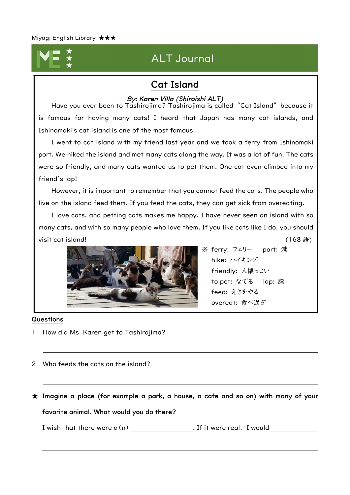

# **ALT Journal**

### Cat Island

### By: Karen Villa (Shiroishi ALT)

Have you ever been to Tashirojima? Tashirojima is called "Cat Island" because it is famous for having many cats! I heard that Japan has many cat islands, and Ishinomaki's cat island is one of the most famous.

I went to cat island with my friend last year and we took a ferry from Ishinomaki port. We hiked the island and met many cats along the way. It was a lot of fun. The cats were so friendly, and many cats wanted us to pet them. One cat even climbed into my friend's lap!

However, it is important to remember that you cannot feed the cats. The people who live on the island feed them. If you feed the cats, they can get sick from overeating.

I love cats, and petting cats makes me happy. I have never seen an island with so many cats, and with so many people who love them. If you like cats like I do, you should visit cat island! (168 語)



※ ferry: フェリー port: 港 hike: ハイキング friendly: 人懐っこい to pet: なでる lap: 膝 feed: えさをやる overeat: 食べ過ぎ

### Questions

- 1 How did Ms. Karen get to Tashirojima?
- 2 Who feeds the cats on the island?

 $\star$  Imagine a place (for example a park, a house, a cafe and so on) with many of your favorite animal. What would you do there?

I wish that there were  $a(n)$  . If it were real, I would